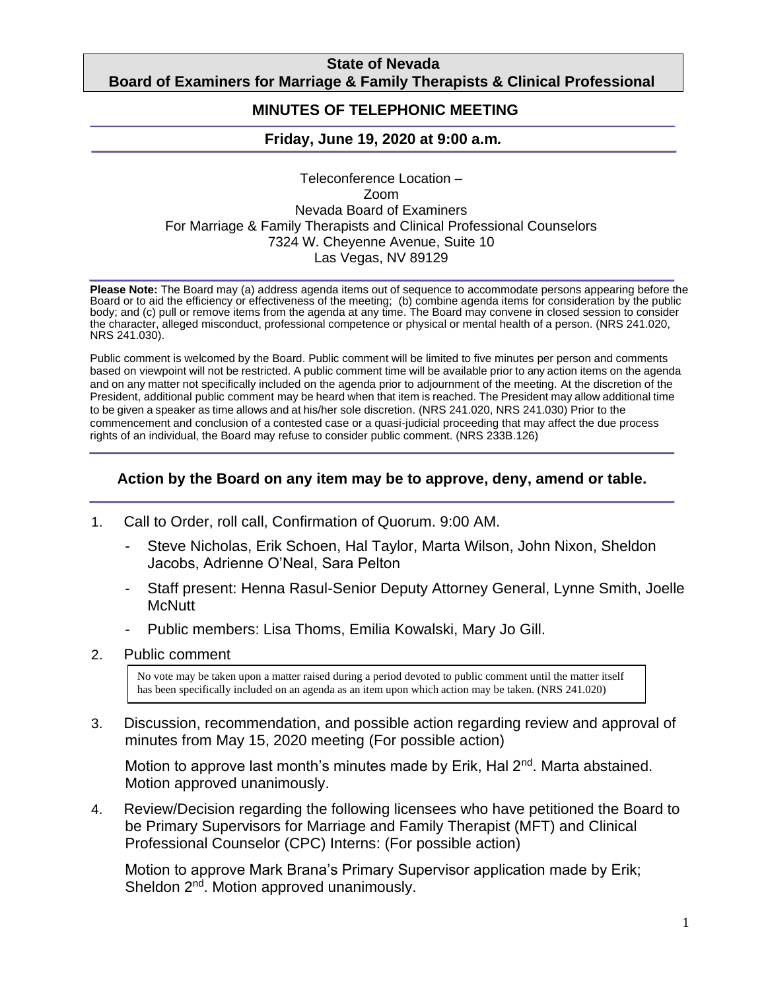## **State of Nevada Board of Examiners for Marriage & Family Therapists & Clinical Professional**

## **Counselors MINUTES OF TELEPHONIC MEETING**

## **Friday, June 19, 2020 at 9:00 a.m***.*

Teleconference Location – Zoom Nevada Board of Examiners For Marriage & Family Therapists and Clinical Professional Counselors 7324 W. Cheyenne Avenue, Suite 10 Las Vegas, NV 89129

**Please Note:** The Board may (a) address agenda items out of sequence to accommodate persons appearing before the Board or to aid the efficiency or effectiveness of the meeting; (b) combine agenda items for consideration by the public body; and (c) pull or remove items from the agenda at any time. The Board may convene in closed session to consider the character, alleged misconduct, professional competence or physical or mental health of a person. (NRS 241.020, NRS 241.030).

Public comment is welcomed by the Board. Public comment will be limited to five minutes per person and comments based on viewpoint will not be restricted. A public comment time will be available prior to any action items on the agenda and on any matter not specifically included on the agenda prior to adjournment of the meeting. At the discretion of the President, additional public comment may be heard when that item is reached. The President may allow additional time to be given a speaker as time allows and at his/her sole discretion. (NRS 241.020, NRS 241.030) Prior to the commencement and conclusion of a contested case or a quasi-judicial proceeding that may affect the due process rights of an individual, the Board may refuse to consider public comment. (NRS 233B.126)

## **Action by the Board on any item may be to approve, deny, amend or table.**

- 1. Call to Order, roll call, Confirmation of Quorum. 9:00 AM.
	- Steve Nicholas, Erik Schoen, Hal Taylor, Marta Wilson, John Nixon, Sheldon Jacobs, Adrienne O'Neal, Sara Pelton
	- Staff present: Henna Rasul-Senior Deputy Attorney General, Lynne Smith, Joelle **McNutt**
	- Public members: Lisa Thoms, Emilia Kowalski, Mary Jo Gill.
- 2. Public comment

No vote may be taken upon a matter raised during a period devoted to public comment until the matter itself has been specifically included on an agenda as an item upon which action may be taken. (NRS 241.020)

3. Discussion, recommendation, and possible action regarding review and approval of minutes from May 15, 2020 meeting (For possible action)

Motion to approve last month's minutes made by Erik, Hal  $2<sup>nd</sup>$ . Marta abstained. Motion approved unanimously.

4. Review/Decision regarding the following licensees who have petitioned the Board to be Primary Supervisors for Marriage and Family Therapist (MFT) and Clinical Professional Counselor (CPC) Interns: (For possible action)

Motion to approve Mark Brana's Primary Supervisor application made by Erik; Sheldon 2<sup>nd</sup>. Motion approved unanimously.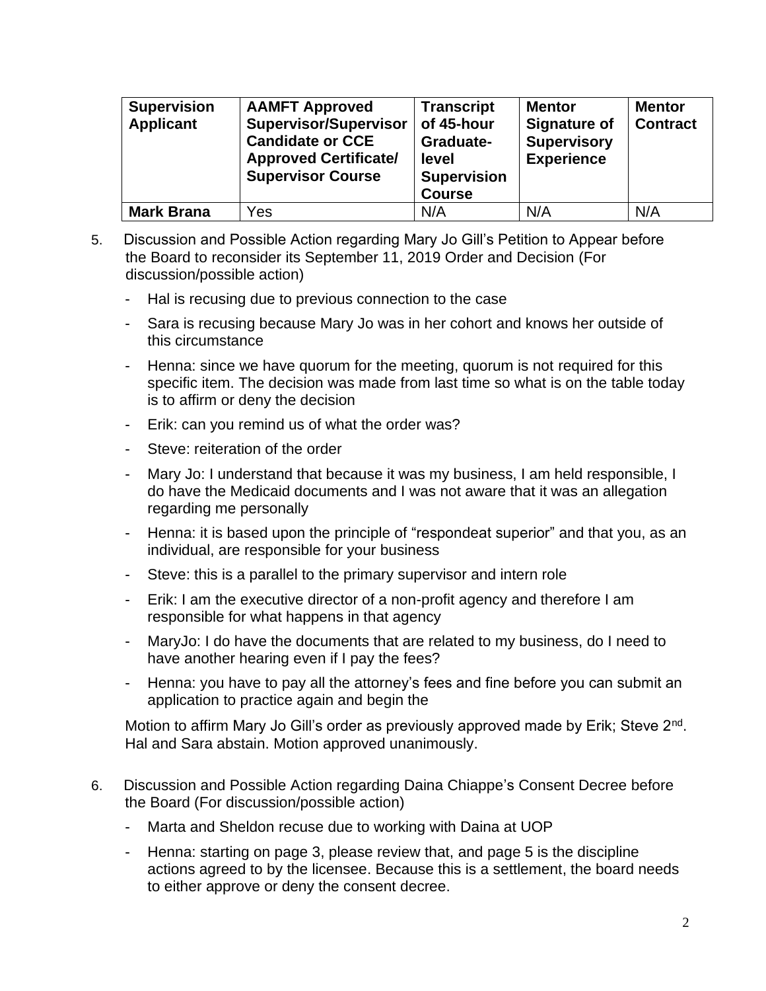| <b>Supervision</b><br><b>Applicant</b> | <b>AAMFT Approved</b><br><b>Supervisor/Supervisor</b><br><b>Candidate or CCE</b><br><b>Approved Certificate/</b><br><b>Supervisor Course</b> | <b>Transcript</b><br>of 45-hour<br>Graduate-<br>level<br><b>Supervision</b><br><b>Course</b> | <b>Mentor</b><br><b>Signature of</b><br><b>Supervisory</b><br><b>Experience</b> | <b>Mentor</b><br><b>Contract</b> |
|----------------------------------------|----------------------------------------------------------------------------------------------------------------------------------------------|----------------------------------------------------------------------------------------------|---------------------------------------------------------------------------------|----------------------------------|
| <b>Mark Brana</b>                      | Yes                                                                                                                                          | N/A                                                                                          | N/A                                                                             | N/A                              |

- 5. Discussion and Possible Action regarding Mary Jo Gill's Petition to Appear before the Board to reconsider its September 11, 2019 Order and Decision (For discussion/possible action)
	- Hal is recusing due to previous connection to the case
	- Sara is recusing because Mary Jo was in her cohort and knows her outside of this circumstance
	- Henna: since we have quorum for the meeting, quorum is not required for this specific item. The decision was made from last time so what is on the table today is to affirm or deny the decision
	- Erik: can you remind us of what the order was?
	- Steve: reiteration of the order
	- Mary Jo: I understand that because it was my business, I am held responsible, I do have the Medicaid documents and I was not aware that it was an allegation regarding me personally
	- Henna: it is based upon the principle of "respondeat superior" and that you, as an individual, are responsible for your business
	- Steve: this is a parallel to the primary supervisor and intern role
	- Erik: I am the executive director of a non-profit agency and therefore I am responsible for what happens in that agency
	- MaryJo: I do have the documents that are related to my business, do I need to have another hearing even if I pay the fees?
	- Henna: you have to pay all the attorney's fees and fine before you can submit an application to practice again and begin the

Motion to affirm Mary Jo Gill's order as previously approved made by Erik; Steve 2<sup>nd</sup>. Hal and Sara abstain. Motion approved unanimously.

- 6. Discussion and Possible Action regarding Daina Chiappe's Consent Decree before the Board (For discussion/possible action)
	- Marta and Sheldon recuse due to working with Daina at UOP
	- Henna: starting on page 3, please review that, and page 5 is the discipline actions agreed to by the licensee. Because this is a settlement, the board needs to either approve or deny the consent decree.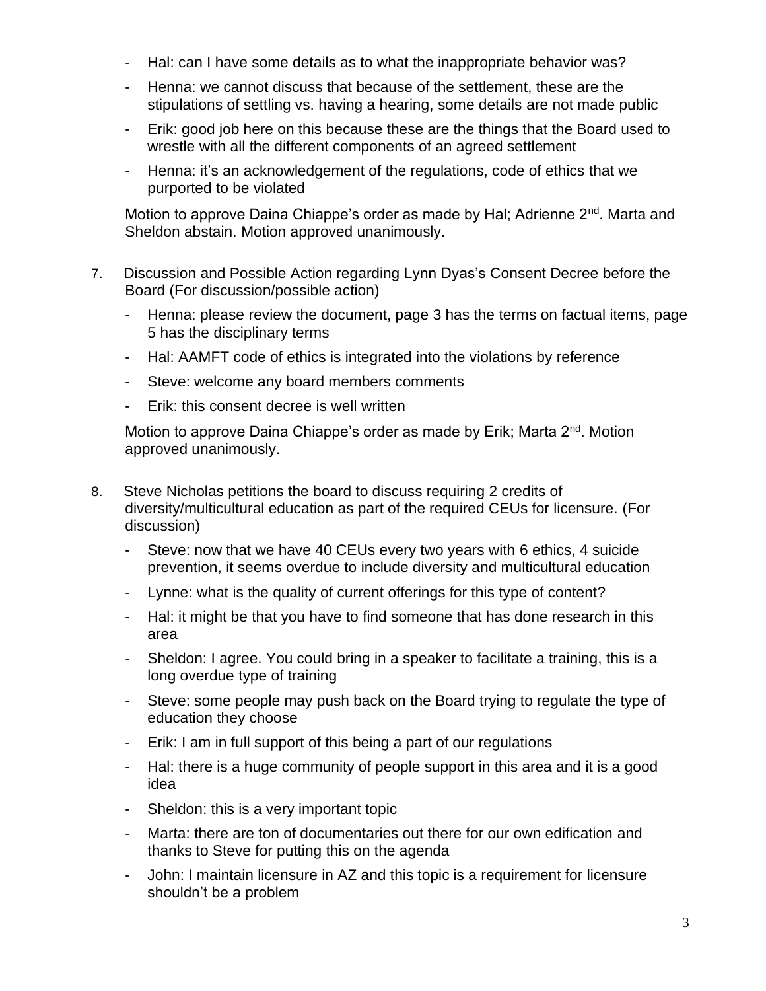- Hal: can I have some details as to what the inappropriate behavior was?
- Henna: we cannot discuss that because of the settlement, these are the stipulations of settling vs. having a hearing, some details are not made public
- Erik: good job here on this because these are the things that the Board used to wrestle with all the different components of an agreed settlement
- Henna: it's an acknowledgement of the regulations, code of ethics that we purported to be violated

Motion to approve Daina Chiappe's order as made by Hal; Adrienne 2<sup>nd</sup>. Marta and Sheldon abstain. Motion approved unanimously.

- 7. Discussion and Possible Action regarding Lynn Dyas's Consent Decree before the Board (For discussion/possible action)
	- Henna: please review the document, page 3 has the terms on factual items, page 5 has the disciplinary terms
	- Hal: AAMFT code of ethics is integrated into the violations by reference
	- Steve: welcome any board members comments
	- Erik: this consent decree is well written

Motion to approve Daina Chiappe's order as made by Erik; Marta 2<sup>nd</sup>. Motion approved unanimously.

- 8. Steve Nicholas petitions the board to discuss requiring 2 credits of diversity/multicultural education as part of the required CEUs for licensure. (For discussion)
	- Steve: now that we have 40 CEUs every two years with 6 ethics, 4 suicide prevention, it seems overdue to include diversity and multicultural education
	- Lynne: what is the quality of current offerings for this type of content?
	- Hal: it might be that you have to find someone that has done research in this area
	- Sheldon: I agree. You could bring in a speaker to facilitate a training, this is a long overdue type of training
	- Steve: some people may push back on the Board trying to regulate the type of education they choose
	- Erik: I am in full support of this being a part of our regulations
	- Hal: there is a huge community of people support in this area and it is a good idea
	- Sheldon: this is a very important topic
	- Marta: there are ton of documentaries out there for our own edification and thanks to Steve for putting this on the agenda
	- John: I maintain licensure in AZ and this topic is a requirement for licensure shouldn't be a problem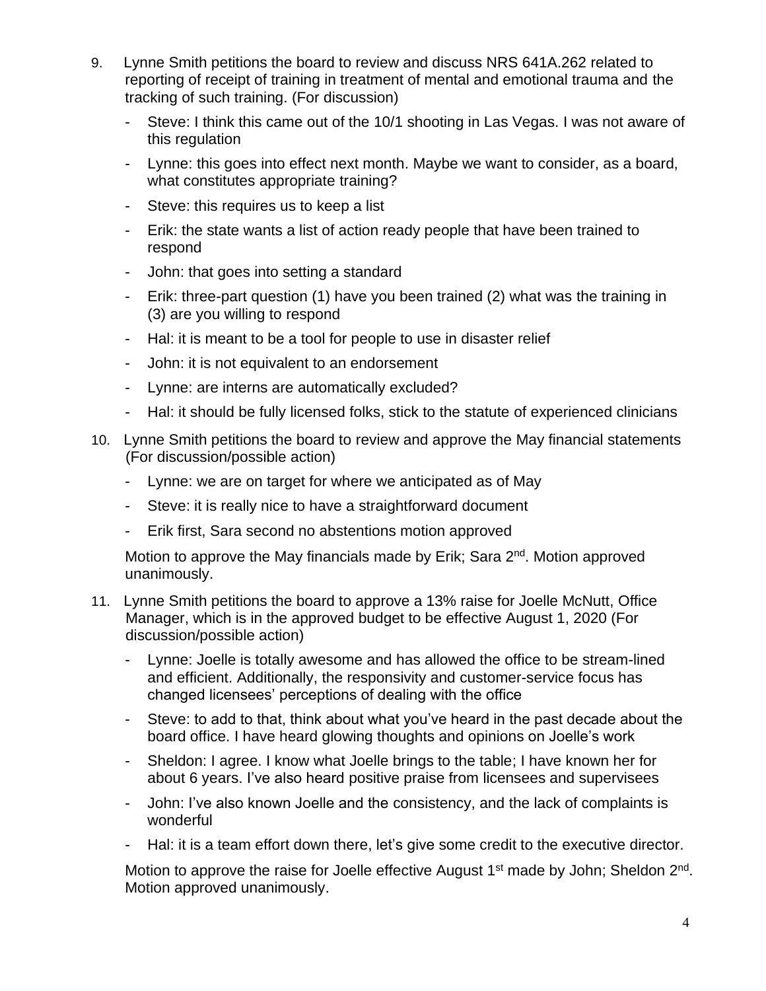- 9. Lynne Smith petitions the board to review and discuss NRS 641A.262 related to reporting of receipt of training in treatment of mental and emotional trauma and the tracking of such training. (For discussion)
	- Steve: I think this came out of the 10/1 shooting in Las Vegas. I was not aware of this regulation
	- Lynne: this goes into effect next month. Maybe we want to consider, as a board, what constitutes appropriate training?
	- Steve: this requires us to keep a list
	- Erik: the state wants a list of action ready people that have been trained to respond
	- John: that goes into setting a standard
	- Erik: three-part question (1) have you been trained (2) what was the training in (3) are you willing to respond
	- Hal: it is meant to be a tool for people to use in disaster relief
	- John: it is not equivalent to an endorsement
	- Lynne: are interns are automatically excluded?
	- Hal: it should be fully licensed folks, stick to the statute of experienced clinicians
- 10. Lynne Smith petitions the board to review and approve the May financial statements (For discussion/possible action)
	- Lynne: we are on target for where we anticipated as of May
	- Steve: it is really nice to have a straightforward document
	- Erik first, Sara second no abstentions motion approved

Motion to approve the May financials made by Erik; Sara 2<sup>nd</sup>. Motion approved unanimously.

- 11. Lynne Smith petitions the board to approve a 13% raise for Joelle McNutt, Office Manager, which is in the approved budget to be effective August 1, 2020 (For discussion/possible action)
	- Lynne: Joelle is totally awesome and has allowed the office to be stream-lined and efficient. Additionally, the responsivity and customer-service focus has changed licensees' perceptions of dealing with the office
	- Steve: to add to that, think about what you've heard in the past decade about the board office. I have heard glowing thoughts and opinions on Joelle's work
	- Sheldon: I agree. I know what Joelle brings to the table; I have known her for about 6 years. I've also heard positive praise from licensees and supervisees
	- John: I've also known Joelle and the consistency, and the lack of complaints is wonderful
	- Hal: it is a team effort down there, let's give some credit to the executive director.

Motion to approve the raise for Joelle effective August 1<sup>st</sup> made by John; Sheldon 2<sup>nd</sup>. Motion approved unanimously.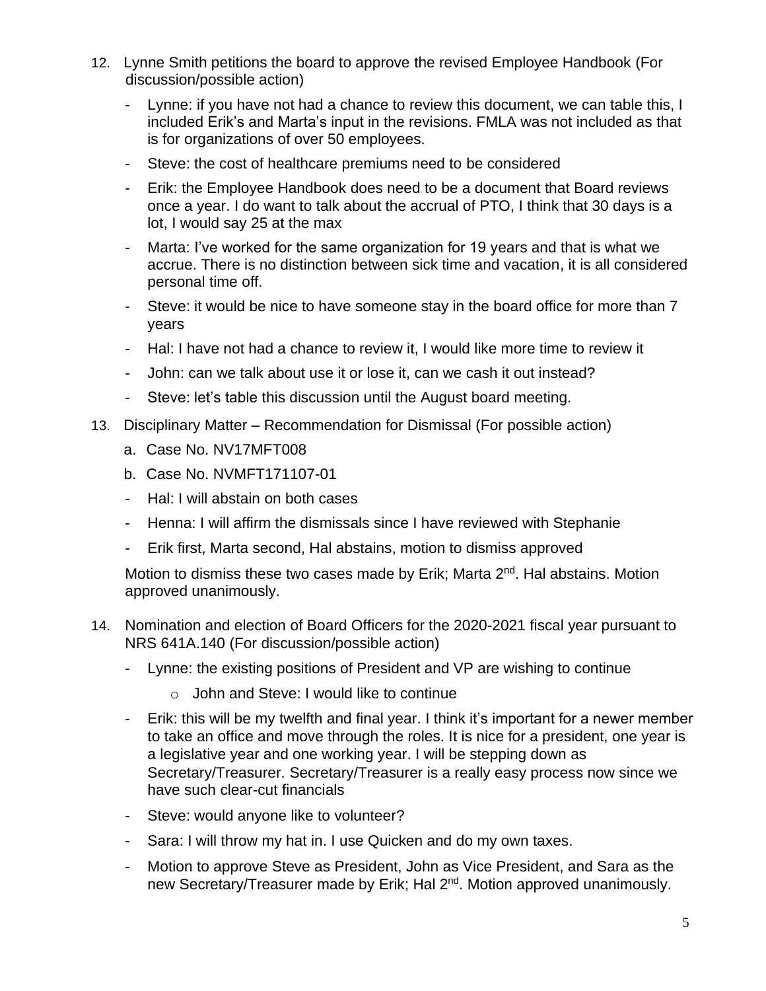- 12. Lynne Smith petitions the board to approve the revised Employee Handbook (For discussion/possible action)
	- Lynne: if you have not had a chance to review this document, we can table this, I included Erik's and Marta's input in the revisions. FMLA was not included as that is for organizations of over 50 employees.
	- Steve: the cost of healthcare premiums need to be considered
	- Erik: the Employee Handbook does need to be a document that Board reviews once a year. I do want to talk about the accrual of PTO, I think that 30 days is a lot, I would say 25 at the max
	- Marta: I've worked for the same organization for 19 years and that is what we accrue. There is no distinction between sick time and vacation, it is all considered personal time off.
	- Steve: it would be nice to have someone stay in the board office for more than 7 years
	- Hal: I have not had a chance to review it, I would like more time to review it
	- John: can we talk about use it or lose it, can we cash it out instead?
	- Steve: let's table this discussion until the August board meeting.
- 13. Disciplinary Matter Recommendation for Dismissal (For possible action)
	- a. Case No. NV17MFT008
	- b. Case No. NVMFT171107-01
	- Hal: I will abstain on both cases
	- Henna: I will affirm the dismissals since I have reviewed with Stephanie
	- Erik first, Marta second, Hal abstains, motion to dismiss approved

Motion to dismiss these two cases made by Erik; Marta 2<sup>nd</sup>. Hal abstains. Motion approved unanimously.

- 14. Nomination and election of Board Officers for the 2020-2021 fiscal year pursuant to NRS 641A.140 (For discussion/possible action)
	- Lynne: the existing positions of President and VP are wishing to continue
		- o John and Steve: I would like to continue
	- Erik: this will be my twelfth and final year. I think it's important for a newer member to take an office and move through the roles. It is nice for a president, one year is a legislative year and one working year. I will be stepping down as Secretary/Treasurer. Secretary/Treasurer is a really easy process now since we have such clear-cut financials
	- Steve: would anyone like to volunteer?
	- Sara: I will throw my hat in. I use Quicken and do my own taxes.
	- Motion to approve Steve as President, John as Vice President, and Sara as the new Secretary/Treasurer made by Erik; Hal 2<sup>nd</sup>. Motion approved unanimously.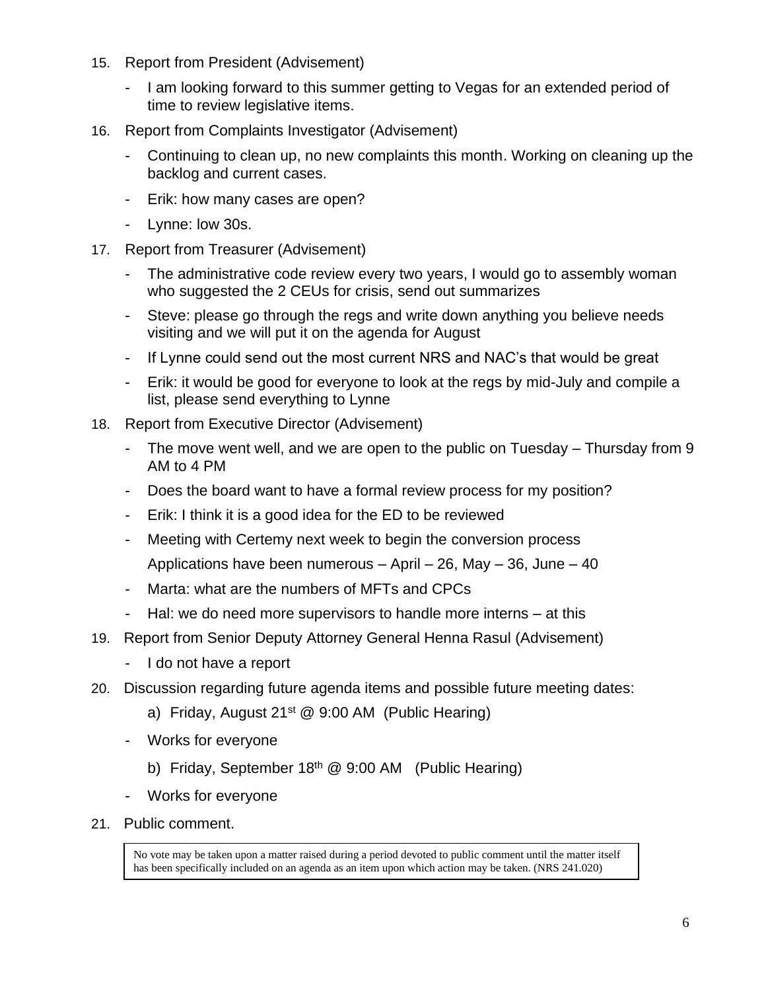- 15. Report from President (Advisement)
	- I am looking forward to this summer getting to Vegas for an extended period of time to review legislative items.
- 16. Report from Complaints Investigator (Advisement)
	- Continuing to clean up, no new complaints this month. Working on cleaning up the backlog and current cases.
	- Erik: how many cases are open?
	- Lynne: low 30s.
- 17. Report from Treasurer (Advisement)
	- The administrative code review every two years, I would go to assembly woman who suggested the 2 CEUs for crisis, send out summarizes
	- Steve: please go through the regs and write down anything you believe needs visiting and we will put it on the agenda for August
	- If Lynne could send out the most current NRS and NAC's that would be great
	- Erik: it would be good for everyone to look at the regs by mid-July and compile a list, please send everything to Lynne
- 18. Report from Executive Director (Advisement)
	- The move went well, and we are open to the public on Tuesday Thursday from 9 AM to 4 PM
	- Does the board want to have a formal review process for my position?
	- Erik: I think it is a good idea for the ED to be reviewed
	- Meeting with Certemy next week to begin the conversion process Applications have been numerous  $-$  April  $-$  26, May  $-$  36, June  $-$  40
	- Marta: what are the numbers of MFTs and CPCs
	- Hal: we do need more supervisors to handle more interns at this
- 19. Report from Senior Deputy Attorney General Henna Rasul (Advisement)
	- I do not have a report
- 20. Discussion regarding future agenda items and possible future meeting dates:
	- a) Friday, August  $21^{st}$  @ 9:00 AM (Public Hearing)
	- Works for everyone
		- b) Friday, September 18<sup>th</sup> @ 9:00 AM (Public Hearing)
	- Works for everyone
- 21. Public comment.

No vote may be taken upon a matter raised during a period devoted to public comment until the matter itself has been specifically included on an agenda as an item upon which action may be taken. (NRS 241.020)